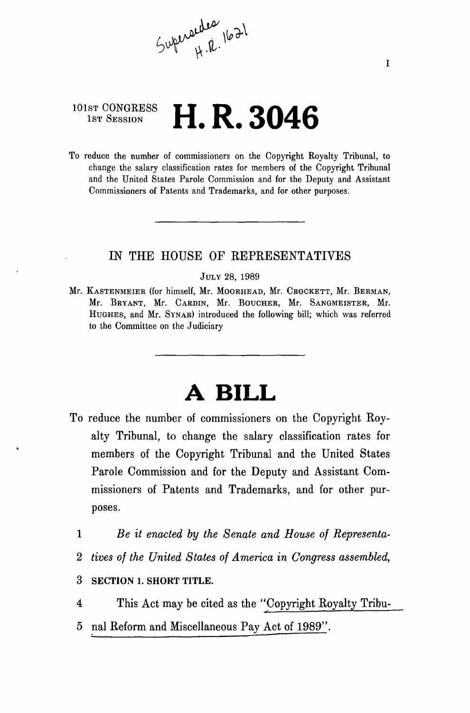$5$ uperaedes 1621

## 101ST CONGRESS **1st Session H. R. 3046**

To reduce the number of commissioners on the Copyright Royalty Tribunal, to change the salary classification rates for members of the Copyright Tribunal and the United States Parole Commission and for the Deputy and Assistant Commissioners of Patents and Trademarks, and for other purposes.

### IN THE HOUSE OF REPRESENTATIVES

#### JULY 28, 1989

Mr. KASTENMEIEE (for himself, Mr. MOOEHEAD, Mr. CEOCKETT, Mr. BEEMAN, Mr. BEYANT, Mr. CAEDIN, Mr. BOUCHER, Mr. SANGMEISTEE, Mr. HUGHES, and Mr. SYNAE) introduced the following bill; which was referred to the Committee on the Judiciary

# **A BILL**

- To reduce the number of commissioners on the Copyright Royalty Tribunal, to change the salary classification rates for members of the Copyright Tribunal and the United States Parole Commission and for the Deputy and Assistant Commissioners of Patents and Trademarks, and for other purposes.
	- 1 *Be it enacted by the Senate and House of Representa-*
	- 2 *tives of the United States of America in Congress assembled,*
	- 3 SECTION 1. SHORT TITLE.
	- 4 This Act may be cited as the "Copyright Royalty Tribu-
	- 5 nal Reform and Miscellaneous Pay Act of 1989".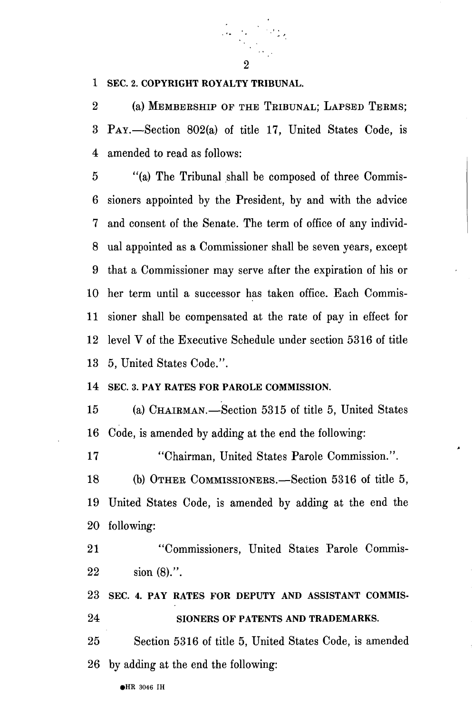

### 1 SEC. 2. COPYRIGHT ROYALTY TRIBUNAL.

2 (a) MEMBERSHIP OF THE TRIBUNAL; LAPSED TERMS; 3 PAY.—Section 802(a) of title 17, United States Code, is 4 amended to read as follows:

5 "(a) The Tribunal shall be composed of three Commis-6 sioners appointed by the President, by and with the advice 7 and consent of the Senate. The term of office of any individ-8 ual appointed as a Commissioner shall be seven years, except 9 that a Commissioner may serve after the expiration of his or 10 her term until a successor has taken office. Each Commis-11 sioner shall be compensated at the rate of pay in effect for 12 level V of the Executive Schedule under section 5316 of title 13 5, United States Code.".

### 14 SEC. 3. PAY RATES FOR PAROLE COMMISSION.

15 (a) CHAIRMAN.—Section 5315 of title 5, United States 16 Code, is amended by adding at the end the following:

17 "Chairman, United States Parole Commission.".

18 (b) OTHER COMMISSIONERS.—Section 5316 of title 5, 19 United States Code, is amended by adding at the end the 20 following:

21 "Commissioners, United States Parole Commis-22 sion (8).".

23 SEC. 4. PAY RATES FOR DEPUTY AND ASSISTANT COMMIS-24 SIONERS OF PATENTS AND TRADEMARKS.

25 Section 5316 of title 5, United States Code, is amended 26 by adding at the end the following: